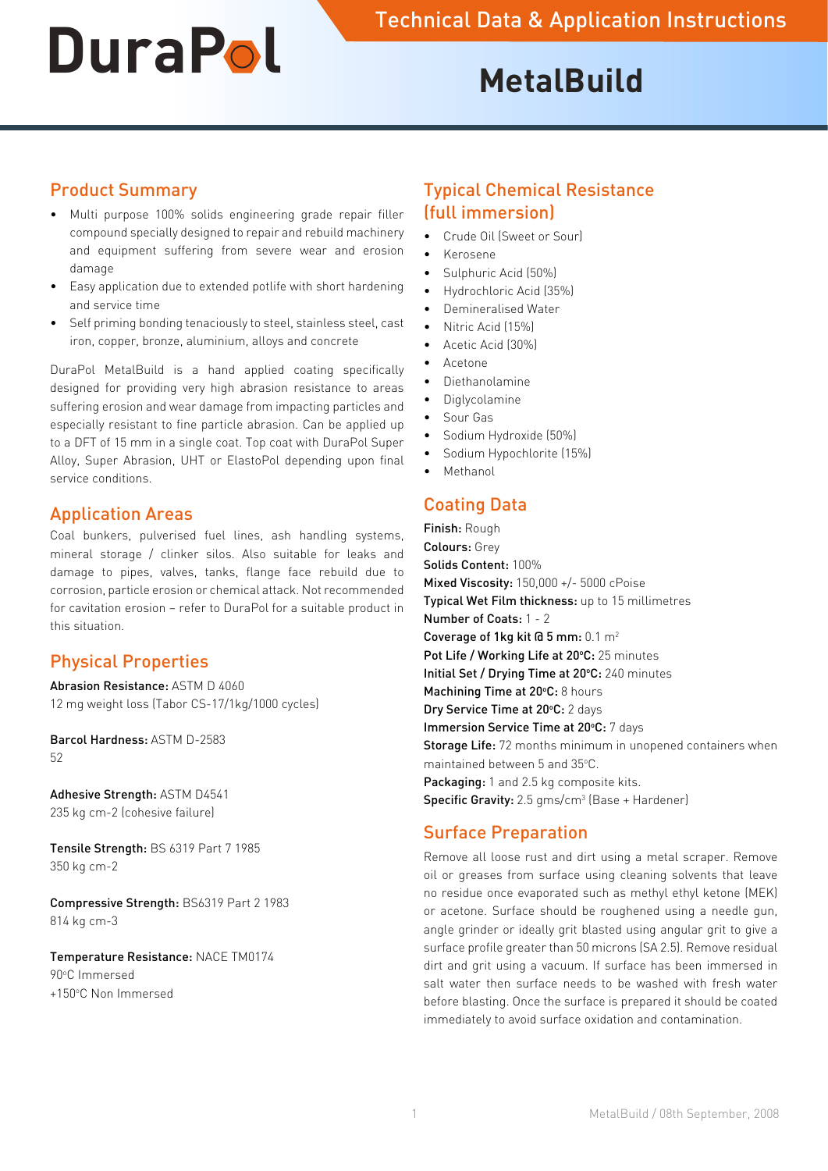# **MetalBuild**

### Product Summary

- Multi purpose 100% solids engineering grade repair filler compound specially designed to repair and rebuild machinery and equipment suffering from severe wear and erosion damage
- • Easy application due to extended potlife with short hardening and service time
- • Self priming bonding tenaciously to steel, stainless steel, cast iron, copper, bronze, aluminium, alloys and concrete

DuraPol MetalBuild is a hand applied coating specifically designed for providing very high abrasion resistance to areas suffering erosion and wear damage from impacting particles and especially resistant to fine particle abrasion. Can be applied up to a DFT of 15 mm in a single coat. Top coat with DuraPol Super Alloy, Super Abrasion, UHT or ElastoPol depending upon final service conditions.

#### Application Areas

Coal bunkers, pulverised fuel lines, ash handling systems, mineral storage / clinker silos. Also suitable for leaks and damage to pipes, valves, tanks, flange face rebuild due to corrosion, particle erosion or chemical attack. Not recommended for cavitation erosion – refer to DuraPol for a suitable product in this situation.

## Physical Properties

Abrasion Resistance: ASTM D 4060 12 mg weight loss (Tabor CS-17/1kg/1000 cycles)

Barcol Hardness: ASTM D-2583 52

Adhesive Strength: ASTM D4541 235 kg cm-2 (cohesive failure)

Tensile Strength: BS 6319 Part 7 1985 350 kg cm-2

Compressive Strength: BS6319 Part 2 1983 814 kg cm-3

Temperature Resistance: NACE TM0174 90°C Immersed +150°C Non Immersed

## Typical Chemical Resistance (full immersion)

- Crude Oil (Sweet or Sour)
- • Kerosene
- Sulphuric Acid (50%)
- • Hydrochloric Acid (35%)
- Demineralised Water
- Nitric Acid (15%)
- Acetic Acid (30%)
- **Acetone**
- **Diethanolamine**
- **Diglycolamine**
- Sour Gas
- Sodium Hydroxide (50%)
- Sodium Hypochlorite (15%)
- **Methanol**

## Coating Data

Finish: Rough Colours: Grey Solids Content: 100% Mixed Viscosity: 150,000 +/- 5000 cPoise Typical Wet Film thickness: up to 15 millimetres Number of Coats: 1 - 2 Coverage of 1kg kit  $\overline{a}$  5 mm:  $0.1 \text{ m}^2$ Pot Life / Working Life at 20°C: 25 minutes Initial Set / Drying Time at 20°C: 240 minutes Machining Time at 20°C: 8 hours Dry Service Time at 20°C: 2 days Immersion Service Time at 20°C: 7 days **Storage Life:** 72 months minimum in unopened containers when maintained between 5 and 35°C. Packaging: 1 and 2.5 kg composite kits. **Specific Gravity:** 2.5  $g$ ms/cm<sup>3</sup> (Base + Hardener)

#### Surface Preparation

Remove all loose rust and dirt using a metal scraper. Remove oil or greases from surface using cleaning solvents that leave no residue once evaporated such as methyl ethyl ketone (MEK) or acetone. Surface should be roughened using a needle gun, angle grinder or ideally grit blasted using angular grit to give a surface profile greater than 50 microns (SA 2.5). Remove residual dirt and grit using a vacuum. If surface has been immersed in salt water then surface needs to be washed with fresh water before blasting. Once the surface is prepared it should be coated immediately to avoid surface oxidation and contamination.